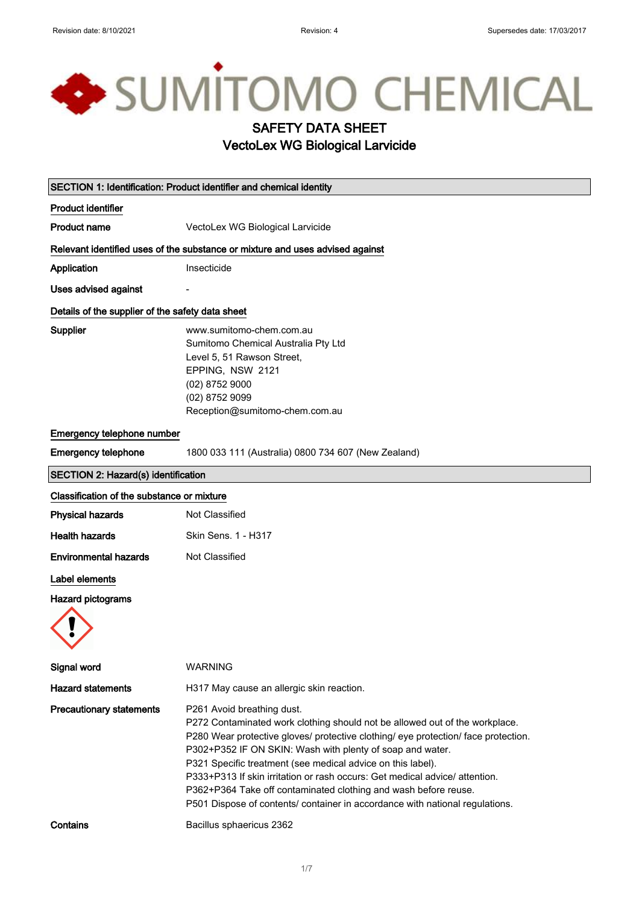# SUMITOMO CHEMICAL SAFETY DATA SHEET VectoLex WG Biological Larvicide SECTION 1: Identification: Product identifier and chemical identity Product identifier Product name **VectoLex WG Biological Larvicide**

Relevant identified uses of the substance or mixture and uses advised against

Application Insecticide

Uses advised against

#### Details of the supplier of the safety data sheet

Supplier www.sumitomo-chem.com.au Sumitomo Chemical Australia Pty Ltd Level 5, 51 Rawson Street, EPPING, NSW 2121 (02) 8752 9000 (02) 8752 9099 Reception@sumitomo-chem.com.au

#### Emergency telephone number

Emergency telephone 1800 033 111 (Australia) 0800 734 607 (New Zealand)

#### SECTION 2: Hazard(s) identification

#### Classification of the substance or mixture

| Physical hazards      | Not Classified      |
|-----------------------|---------------------|
| Health hazards        | Skin Sens. 1 - H317 |
| Environmental hazards | Not Classified      |

### Label elements

Hazard pictograms



| Signal word                     | <b>WARNING</b>                                                                                                                                                                                                                                                                                                                                                                                                                                                                                                                                                |
|---------------------------------|---------------------------------------------------------------------------------------------------------------------------------------------------------------------------------------------------------------------------------------------------------------------------------------------------------------------------------------------------------------------------------------------------------------------------------------------------------------------------------------------------------------------------------------------------------------|
| <b>Hazard statements</b>        | H317 May cause an allergic skin reaction.                                                                                                                                                                                                                                                                                                                                                                                                                                                                                                                     |
| <b>Precautionary statements</b> | P261 Avoid breathing dust.<br>P272 Contaminated work clothing should not be allowed out of the workplace.<br>P280 Wear protective gloves/ protective clothing/ eye protection/ face protection.<br>P302+P352 IF ON SKIN: Wash with plenty of soap and water.<br>P321 Specific treatment (see medical advice on this label).<br>P333+P313 If skin irritation or rash occurs: Get medical advice/ attention.<br>P362+P364 Take off contaminated clothing and wash before reuse.<br>P501 Dispose of contents/ container in accordance with national regulations. |
| Contains                        | Bacillus sphaericus 2362                                                                                                                                                                                                                                                                                                                                                                                                                                                                                                                                      |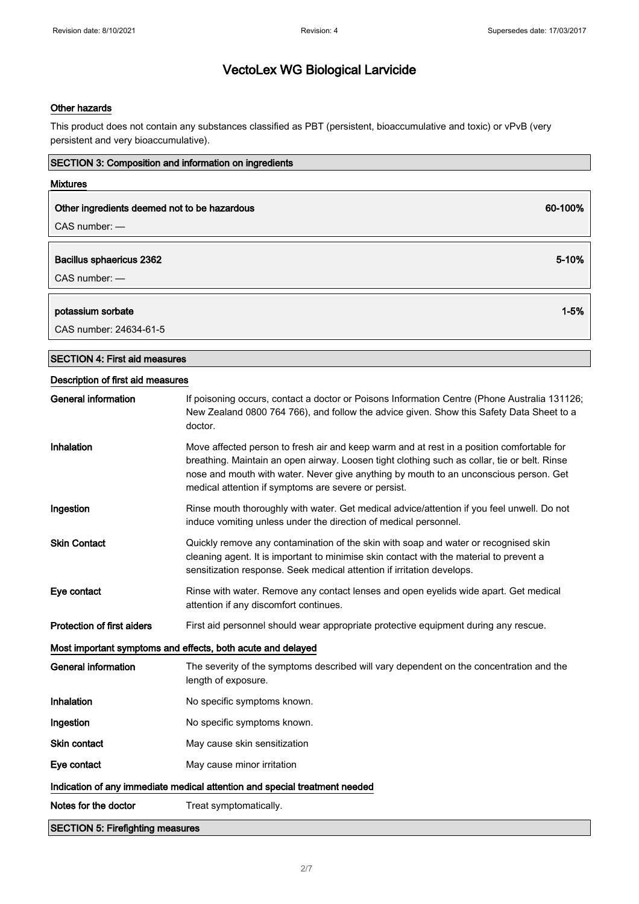#### Other hazards

This product does not contain any substances classified as PBT (persistent, bioaccumulative and toxic) or vPvB (very persistent and very bioaccumulative).

| SECTION 3: Composition and information on ingredients |                                                                                                                                                                                                                                                                                                                                            |
|-------------------------------------------------------|--------------------------------------------------------------------------------------------------------------------------------------------------------------------------------------------------------------------------------------------------------------------------------------------------------------------------------------------|
| <b>Mixtures</b>                                       |                                                                                                                                                                                                                                                                                                                                            |
| Other ingredients deemed not to be hazardous          | 60-100%                                                                                                                                                                                                                                                                                                                                    |
| $CAS$ number: $-$                                     |                                                                                                                                                                                                                                                                                                                                            |
|                                                       |                                                                                                                                                                                                                                                                                                                                            |
| Bacillus sphaericus 2362                              | 5-10%                                                                                                                                                                                                                                                                                                                                      |
| CAS number: -                                         |                                                                                                                                                                                                                                                                                                                                            |
| potassium sorbate                                     | $1 - 5%$                                                                                                                                                                                                                                                                                                                                   |
| CAS number: 24634-61-5                                |                                                                                                                                                                                                                                                                                                                                            |
| <b>SECTION 4: First aid measures</b>                  |                                                                                                                                                                                                                                                                                                                                            |
| Description of first aid measures                     |                                                                                                                                                                                                                                                                                                                                            |
| <b>General information</b>                            | If poisoning occurs, contact a doctor or Poisons Information Centre (Phone Australia 131126;<br>New Zealand 0800 764 766), and follow the advice given. Show this Safety Data Sheet to a<br>doctor.                                                                                                                                        |
| Inhalation                                            | Move affected person to fresh air and keep warm and at rest in a position comfortable for<br>breathing. Maintain an open airway. Loosen tight clothing such as collar, tie or belt. Rinse<br>nose and mouth with water. Never give anything by mouth to an unconscious person. Get<br>medical attention if symptoms are severe or persist. |
| Ingestion                                             | Rinse mouth thoroughly with water. Get medical advice/attention if you feel unwell. Do not<br>induce vomiting unless under the direction of medical personnel.                                                                                                                                                                             |
| <b>Skin Contact</b>                                   | Quickly remove any contamination of the skin with soap and water or recognised skin<br>cleaning agent. It is important to minimise skin contact with the material to prevent a<br>sensitization response. Seek medical attention if irritation develops.                                                                                   |
| Eye contact                                           | Rinse with water. Remove any contact lenses and open eyelids wide apart. Get medical<br>attention if any discomfort continues.                                                                                                                                                                                                             |
| <b>Protection of first aiders</b>                     | First aid personnel should wear appropriate protective equipment during any rescue.                                                                                                                                                                                                                                                        |
|                                                       | Most important symptoms and effects, both acute and delayed                                                                                                                                                                                                                                                                                |
| <b>General information</b>                            | The severity of the symptoms described will vary dependent on the concentration and the<br>length of exposure.                                                                                                                                                                                                                             |
| Inhalation                                            | No specific symptoms known.                                                                                                                                                                                                                                                                                                                |
| Ingestion                                             | No specific symptoms known.                                                                                                                                                                                                                                                                                                                |
| <b>Skin contact</b>                                   | May cause skin sensitization                                                                                                                                                                                                                                                                                                               |
| Eye contact                                           | May cause minor irritation                                                                                                                                                                                                                                                                                                                 |
|                                                       | Indication of any immediate medical attention and special treatment needed                                                                                                                                                                                                                                                                 |
| Notes for the doctor                                  | Treat symptomatically.                                                                                                                                                                                                                                                                                                                     |
| <b>SECTION 5: Firefighting measures</b>               |                                                                                                                                                                                                                                                                                                                                            |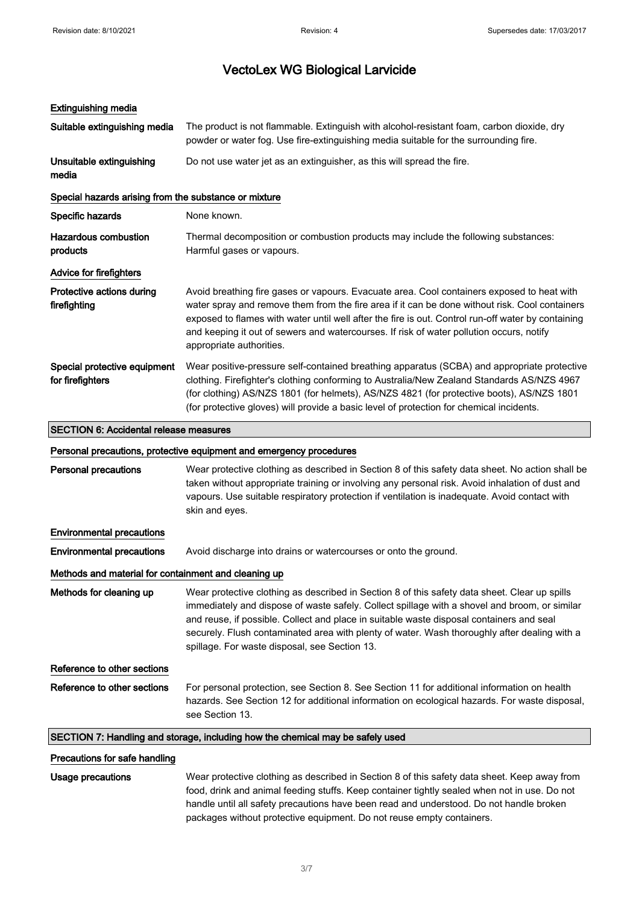#### Extinguishing media

| Suitable extinguishing media                          | The product is not flammable. Extinguish with alcohol-resistant foam, carbon dioxide, dry<br>powder or water fog. Use fire-extinguishing media suitable for the surrounding fire.                                                                                                                                                                                                                                          |
|-------------------------------------------------------|----------------------------------------------------------------------------------------------------------------------------------------------------------------------------------------------------------------------------------------------------------------------------------------------------------------------------------------------------------------------------------------------------------------------------|
| Unsuitable extinguishing<br>media                     | Do not use water jet as an extinguisher, as this will spread the fire.                                                                                                                                                                                                                                                                                                                                                     |
| Special hazards arising from the substance or mixture |                                                                                                                                                                                                                                                                                                                                                                                                                            |
| Specific hazards                                      | None known.                                                                                                                                                                                                                                                                                                                                                                                                                |
| Hazardous combustion<br>products                      | Thermal decomposition or combustion products may include the following substances:<br>Harmful gases or vapours.                                                                                                                                                                                                                                                                                                            |
| Advice for firefighters                               |                                                                                                                                                                                                                                                                                                                                                                                                                            |
| Protective actions during<br>firefighting             | Avoid breathing fire gases or vapours. Evacuate area. Cool containers exposed to heat with<br>water spray and remove them from the fire area if it can be done without risk. Cool containers<br>exposed to flames with water until well after the fire is out. Control run-off water by containing<br>and keeping it out of sewers and watercourses. If risk of water pollution occurs, notify<br>appropriate authorities. |
| Special protective equipment<br>for firefighters      | Wear positive-pressure self-contained breathing apparatus (SCBA) and appropriate protective<br>clothing. Firefighter's clothing conforming to Australia/New Zealand Standards AS/NZS 4967<br>(for clothing) AS/NZS 1801 (for helmets), AS/NZS 4821 (for protective boots), AS/NZS 1801<br>(for protective gloves) will provide a basic level of protection for chemical incidents.                                         |

## SECTION 6: Accidental release measures Personal precautions, protective equipment and emergency procedures Personal precautions Wear protective clothing as described in Section 8 of this safety data sheet. No action shall be taken without appropriate training or involving any personal risk. Avoid inhalation of dust and vapours. Use suitable respiratory protection if ventilation is inadequate. Avoid contact with skin and eyes. Environmental precautions **Environmental precautions** Avoid discharge into drains or watercourses or onto the ground. Methods and material for containment and cleaning up Methods for cleaning up Wear protective clothing as described in Section 8 of this safety data sheet. Clear up spills immediately and dispose of waste safely. Collect spillage with a shovel and broom, or similar and reuse, if possible. Collect and place in suitable waste disposal containers and seal securely. Flush contaminated area with plenty of water. Wash thoroughly after dealing with a spillage. For waste disposal, see Section 13. Reference to other sections Reference to other sections For personal protection, see Section 8. See Section 11 for additional information on health hazards. See Section 12 for additional information on ecological hazards. For waste disposal, see Section 13. SECTION 7: Handling and storage, including how the chemical may be safely used

#### Precautions for safe handling

Usage precautions Wear protective clothing as described in Section 8 of this safety data sheet. Keep away from food, drink and animal feeding stuffs. Keep container tightly sealed when not in use. Do not handle until all safety precautions have been read and understood. Do not handle broken packages without protective equipment. Do not reuse empty containers.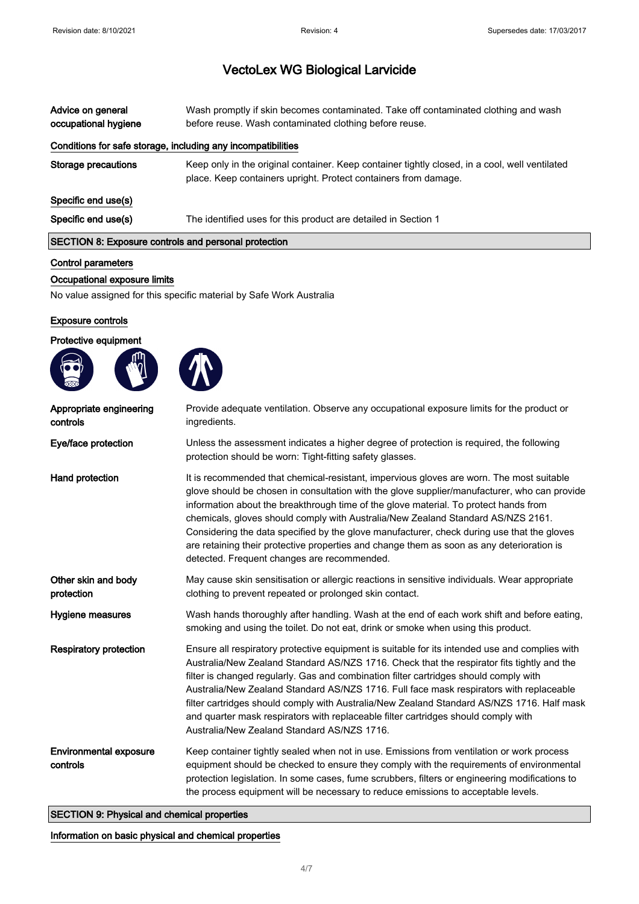| Advice on general<br>occupational hygiene                    | Wash promptly if skin becomes contaminated. Take off contaminated clothing and wash<br>before reuse. Wash contaminated clothing before reuse.                     |
|--------------------------------------------------------------|-------------------------------------------------------------------------------------------------------------------------------------------------------------------|
| Conditions for safe storage, including any incompatibilities |                                                                                                                                                                   |
| Storage precautions                                          | Keep only in the original container. Keep container tightly closed, in a cool, well ventilated<br>place. Keep containers upright. Protect containers from damage. |
| Specific end use(s)                                          |                                                                                                                                                                   |
| Specific end use(s)                                          | The identified uses for this product are detailed in Section 1                                                                                                    |
| <b>SECTION 8: Exposure controls and personal protection</b>  |                                                                                                                                                                   |

#### Control parameters

#### Occupational exposure limits

No value assigned for this specific material by Safe Work Australia

#### Exposure controls

#### Protective equipment



| Appropriate engineering<br>controls       | Provide adequate ventilation. Observe any occupational exposure limits for the product or<br>ingredients.                                                                                                                                                                                                                                                                                                                                                                                                                                                                                                           |
|-------------------------------------------|---------------------------------------------------------------------------------------------------------------------------------------------------------------------------------------------------------------------------------------------------------------------------------------------------------------------------------------------------------------------------------------------------------------------------------------------------------------------------------------------------------------------------------------------------------------------------------------------------------------------|
| Eye/face protection                       | Unless the assessment indicates a higher degree of protection is required, the following<br>protection should be worn: Tight-fitting safety glasses.                                                                                                                                                                                                                                                                                                                                                                                                                                                                |
| Hand protection                           | It is recommended that chemical-resistant, impervious gloves are worn. The most suitable<br>glove should be chosen in consultation with the glove supplier/manufacturer, who can provide<br>information about the breakthrough time of the glove material. To protect hands from<br>chemicals, gloves should comply with Australia/New Zealand Standard AS/NZS 2161.<br>Considering the data specified by the glove manufacturer, check during use that the gloves<br>are retaining their protective properties and change them as soon as any deterioration is<br>detected. Frequent changes are recommended.      |
| Other skin and body<br>protection         | May cause skin sensitisation or allergic reactions in sensitive individuals. Wear appropriate<br>clothing to prevent repeated or prolonged skin contact.                                                                                                                                                                                                                                                                                                                                                                                                                                                            |
| Hygiene measures                          | Wash hands thoroughly after handling. Wash at the end of each work shift and before eating,<br>smoking and using the toilet. Do not eat, drink or smoke when using this product.                                                                                                                                                                                                                                                                                                                                                                                                                                    |
| <b>Respiratory protection</b>             | Ensure all respiratory protective equipment is suitable for its intended use and complies with<br>Australia/New Zealand Standard AS/NZS 1716. Check that the respirator fits tightly and the<br>filter is changed regularly. Gas and combination filter cartridges should comply with<br>Australia/New Zealand Standard AS/NZS 1716. Full face mask respirators with replaceable<br>filter cartridges should comply with Australia/New Zealand Standard AS/NZS 1716. Half mask<br>and quarter mask respirators with replaceable filter cartridges should comply with<br>Australia/New Zealand Standard AS/NZS 1716. |
| <b>Environmental exposure</b><br>controls | Keep container tightly sealed when not in use. Emissions from ventilation or work process<br>equipment should be checked to ensure they comply with the requirements of environmental<br>protection legislation. In some cases, fume scrubbers, filters or engineering modifications to<br>the process equipment will be necessary to reduce emissions to acceptable levels.                                                                                                                                                                                                                                        |

SECTION 9: Physical and chemical properties

Information on basic physical and chemical properties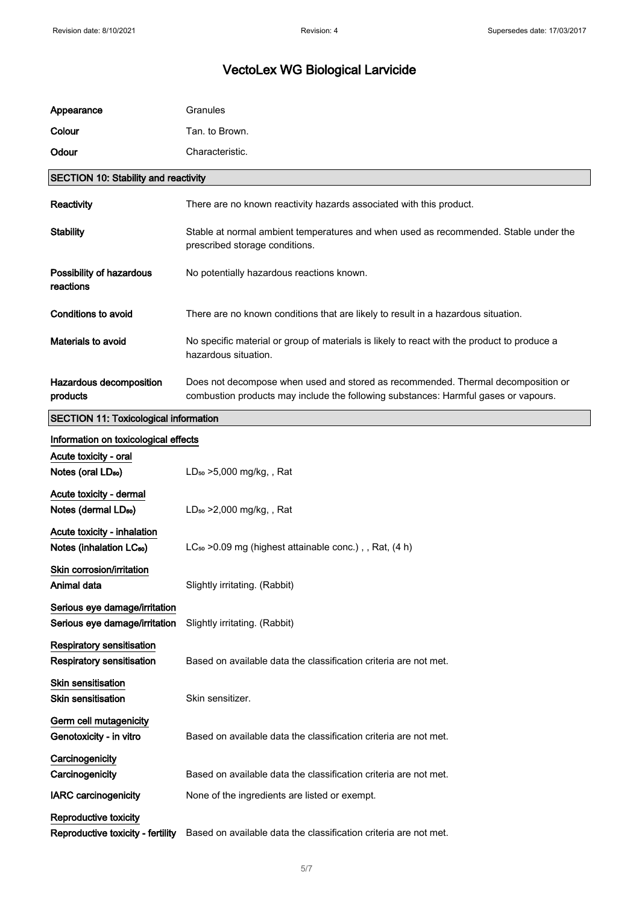| Appearance                                                           | Granules                                                                                                                                                                |
|----------------------------------------------------------------------|-------------------------------------------------------------------------------------------------------------------------------------------------------------------------|
| Colour                                                               | Tan. to Brown.                                                                                                                                                          |
| Odour                                                                | Characteristic.                                                                                                                                                         |
| <b>SECTION 10: Stability and reactivity</b>                          |                                                                                                                                                                         |
| Reactivity                                                           | There are no known reactivity hazards associated with this product.                                                                                                     |
| <b>Stability</b>                                                     | Stable at normal ambient temperatures and when used as recommended. Stable under the<br>prescribed storage conditions.                                                  |
| Possibility of hazardous<br>reactions                                | No potentially hazardous reactions known.                                                                                                                               |
| Conditions to avoid                                                  | There are no known conditions that are likely to result in a hazardous situation.                                                                                       |
| <b>Materials to avoid</b>                                            | No specific material or group of materials is likely to react with the product to produce a<br>hazardous situation.                                                     |
| Hazardous decomposition<br>products                                  | Does not decompose when used and stored as recommended. Thermal decomposition or<br>combustion products may include the following substances: Harmful gases or vapours. |
| <b>SECTION 11: Toxicological information</b>                         |                                                                                                                                                                         |
| Information on toxicological effects                                 |                                                                                                                                                                         |
| Acute toxicity - oral                                                |                                                                                                                                                                         |
| Notes (oral LD <sub>50</sub> )                                       | $LD_{50} > 5,000$ mg/kg, , Rat                                                                                                                                          |
| Acute toxicity - dermal                                              |                                                                                                                                                                         |
| Notes (dermal LD <sub>50</sub> )                                     | $LD_{50} > 2,000$ mg/kg, , Rat                                                                                                                                          |
| Acute toxicity - inhalation<br>Notes (inhalation LC <sub>50</sub> )  | $LC_{50}$ >0.09 mg (highest attainable conc.), Rat, $(4 h)$                                                                                                             |
| Skin corrosion/irritation<br>Animal data                             | Slightly irritating. (Rabbit)                                                                                                                                           |
| Serious eye damage/irritation<br>Serious eye damage/irritation       | Slightly irritating. (Rabbit)                                                                                                                                           |
| <b>Respiratory sensitisation</b><br><b>Respiratory sensitisation</b> | Based on available data the classification criteria are not met.                                                                                                        |
| <b>Skin sensitisation</b><br><b>Skin sensitisation</b>               | Skin sensitizer.                                                                                                                                                        |
| Germ cell mutagenicity<br>Genotoxicity - in vitro                    | Based on available data the classification criteria are not met.                                                                                                        |
| Carcinogenicity<br>Carcinogenicity                                   | Based on available data the classification criteria are not met.                                                                                                        |
| <b>IARC</b> carcinogenicity                                          | None of the ingredients are listed or exempt.                                                                                                                           |
| Reproductive toxicity                                                |                                                                                                                                                                         |
| Reproductive toxicity - fertility                                    | Based on available data the classification criteria are not met.                                                                                                        |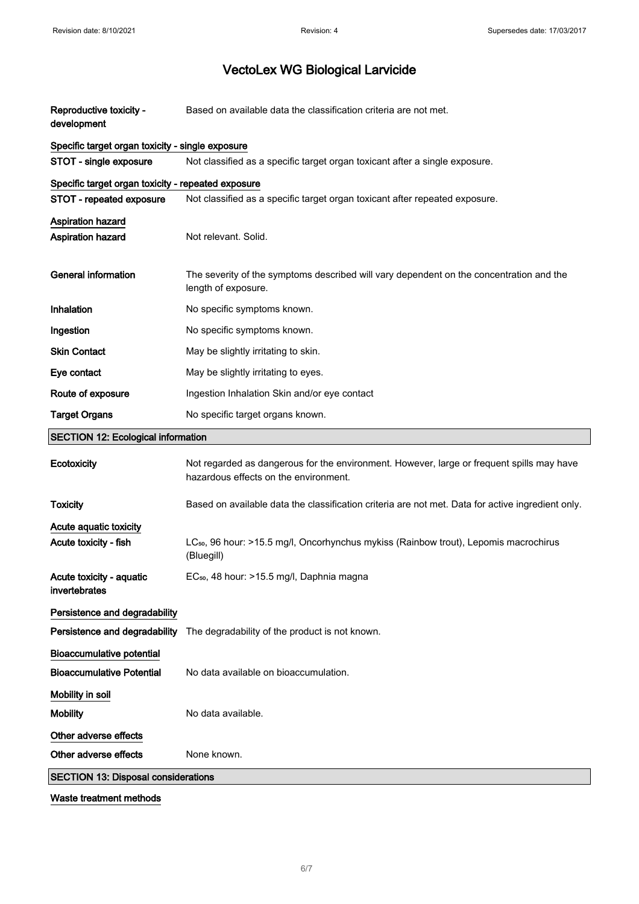| Reproductive toxicity -<br>development             | Based on available data the classification criteria are not met.                                                                   |
|----------------------------------------------------|------------------------------------------------------------------------------------------------------------------------------------|
| Specific target organ toxicity - single exposure   |                                                                                                                                    |
| STOT - single exposure                             | Not classified as a specific target organ toxicant after a single exposure.                                                        |
| Specific target organ toxicity - repeated exposure |                                                                                                                                    |
| STOT - repeated exposure                           | Not classified as a specific target organ toxicant after repeated exposure.                                                        |
| <b>Aspiration hazard</b><br>Aspiration hazard      | Not relevant. Solid.                                                                                                               |
| <b>General information</b>                         | The severity of the symptoms described will vary dependent on the concentration and the<br>length of exposure.                     |
| Inhalation                                         | No specific symptoms known.                                                                                                        |
| Ingestion                                          | No specific symptoms known.                                                                                                        |
| <b>Skin Contact</b>                                | May be slightly irritating to skin.                                                                                                |
| Eye contact                                        | May be slightly irritating to eyes.                                                                                                |
| Route of exposure                                  | Ingestion Inhalation Skin and/or eye contact                                                                                       |
| <b>Target Organs</b>                               | No specific target organs known.                                                                                                   |
| <b>SECTION 12: Ecological information</b>          |                                                                                                                                    |
| Ecotoxicity                                        | Not regarded as dangerous for the environment. However, large or frequent spills may have<br>hazardous effects on the environment. |
| <b>Toxicity</b>                                    | Based on available data the classification criteria are not met. Data for active ingredient only.                                  |
| Acute aquatic toxicity                             |                                                                                                                                    |
| Acute toxicity - fish                              | LC <sub>50</sub> , 96 hour: >15.5 mg/l, Oncorhynchus mykiss (Rainbow trout), Lepomis macrochirus<br>(Bluegill)                     |
| Acute toxicity - aquatic<br>invertebrates          | EC <sub>50</sub> , 48 hour: >15.5 mg/l, Daphnia magna                                                                              |
| Persistence and degradability                      |                                                                                                                                    |
| Persistence and degradability                      | The degradability of the product is not known.                                                                                     |
| <b>Bioaccumulative potential</b>                   |                                                                                                                                    |
| <b>Bioaccumulative Potential</b>                   | No data available on bioaccumulation.                                                                                              |
| Mobility in soil                                   |                                                                                                                                    |
| <b>Mobility</b>                                    | No data available.                                                                                                                 |
| Other adverse effects                              |                                                                                                                                    |
| Other adverse effects                              | None known.                                                                                                                        |
| <b>SECTION 13: Disposal considerations</b>         |                                                                                                                                    |
|                                                    |                                                                                                                                    |

Waste treatment methods